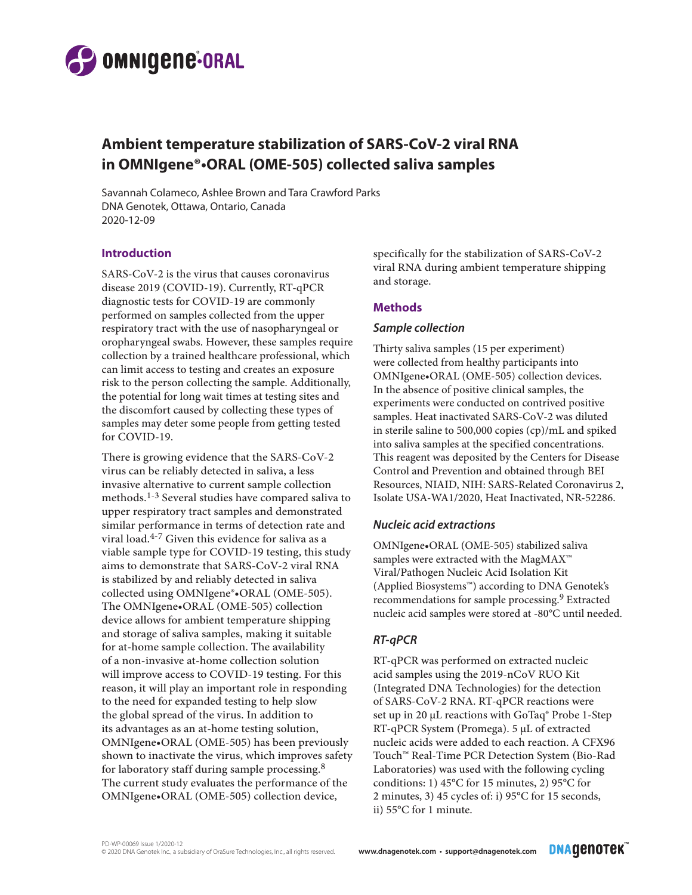

# **Ambient temperature stabilization of SARS-CoV-2 viral RNA in OMNIgene®•ORAL (OME-505) collected saliva samples**

Savannah Colameco, Ashlee Brown and Tara Crawford Parks DNA Genotek, Ottawa, Ontario, Canada 2020-12-09

### **Introduction**

SARS-CoV-2 is the virus that causes coronavirus disease 2019 (COVID-19). Currently, RT-qPCR diagnostic tests for COVID-19 are commonly performed on samples collected from the upper respiratory tract with the use of nasopharyngeal or oropharyngeal swabs. However, these samples require collection by a trained healthcare professional, which can limit access to testing and creates an exposure risk to the person collecting the sample. Additionally, the potential for long wait times at testing sites and the discomfort caused by collecting these types of samples may deter some people from getting tested for COVID-19.

There is growing evidence that the SARS-CoV-2 virus can be reliably detected in saliva, a less invasive alternative to current sample collection methods.1-3 Several studies have compared saliva to upper respiratory tract samples and demonstrated similar performance in terms of detection rate and viral load.4-7 Given this evidence for saliva as a viable sample type for COVID-19 testing, this study aims to demonstrate that SARS-CoV-2 viral RNA is stabilized by and reliably detected in saliva collected using OMNIgene®•ORAL (OME-505). The OMNIgene•ORAL (OME-505) collection device allows for ambient temperature shipping and storage of saliva samples, making it suitable for at-home sample collection. The availability of a non-invasive at-home collection solution will improve access to COVID-19 testing. For this reason, it will play an important role in responding to the need for expanded testing to help slow the global spread of the virus. In addition to its advantages as an at-home testing solution, OMNIgene•ORAL (OME-505) has been previously shown to inactivate the virus, which improves safety for laboratory staff during sample processing.8 The current study evaluates the performance of the OMNIgene•ORAL (OME-505) collection device,

specifically for the stabilization of SARS-CoV-2 viral RNA during ambient temperature shipping and storage.

# **Methods**

### *Sample collection*

Thirty saliva samples (15 per experiment) were collected from healthy participants into OMNIgene•ORAL (OME-505) collection devices. In the absence of positive clinical samples, the experiments were conducted on contrived positive samples. Heat inactivated SARS-CoV-2 was diluted in sterile saline to 500,000 copies (cp)/mL and spiked into saliva samples at the specified concentrations. This reagent was deposited by the Centers for Disease Control and Prevention and obtained through BEI Resources, NIAID, NIH: SARS-Related Coronavirus 2, Isolate USA-WA1/2020, Heat Inactivated, NR-52286.

### *Nucleic acid extractions*

OMNIgene•ORAL (OME-505) stabilized saliva samples were extracted with the MagMAX™ Viral/Pathogen Nucleic Acid Isolation Kit (Applied Biosystems™) according to DNA Genotek's recommendations for sample processing.<sup>9</sup> Extracted nucleic acid samples were stored at -80°C until needed.

# *RT-qPCR*

RT-qPCR was performed on extracted nucleic acid samples using the 2019-nCoV RUO Kit (Integrated DNA Technologies) for the detection of SARS-CoV-2 RNA. RT-qPCR reactions were set up in 20 μL reactions with GoTaq® Probe 1-Step RT-qPCR System (Promega). 5 μL of extracted nucleic acids were added to each reaction. A CFX96 Touch™ Real-Time PCR Detection System (Bio-Rad Laboratories) was used with the following cycling conditions: 1) 45°C for 15 minutes, 2) 95°C for 2 minutes, 3) 45 cycles of: i) 95°C for 15 seconds, ii) 55°C for 1 minute.

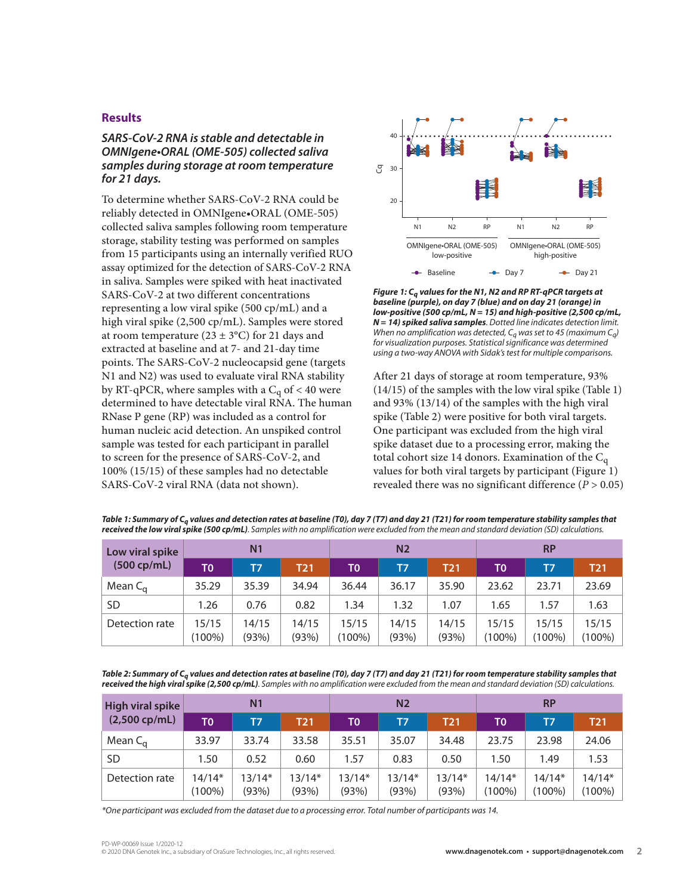#### **Results**

# *SARS-CoV-2 RNA is stable and detectable in OMNIgene•ORAL (OME-505) collected saliva samples during storage at room temperature for 21 days.*

To determine whether SARS-CoV-2 RNA could be reliably detected in OMNIgene•ORAL (OME-505) collected saliva samples following room temperature storage, stability testing was performed on samples from 15 participants using an internally verified RUO assay optimized for the detection of SARS-CoV-2 RNA in saliva. Samples were spiked with heat inactivated SARS-CoV-2 at two different concentrations representing a low viral spike (500 cp/mL) and a high viral spike (2,500 cp/mL). Samples were stored at room temperature ( $23 \pm 3$ °C) for 21 days and extracted at baseline and at 7- and 21-day time points. The SARS-CoV-2 nucleocapsid gene (targets N1 and N2) was used to evaluate viral RNA stability by RT-qPCR, where samples with a  $C_q$  of < 40 were determined to have detectable viral RNA. The human RNase P gene (RP) was included as a control for human nucleic acid detection. An unspiked control sample was tested for each participant in parallel to screen for the presence of SARS-CoV-2, and 100% (15/15) of these samples had no detectable SARS-CoV-2 viral RNA (data not shown).



*Figure 1: Cq values for the N1, N2 and RP RT-qPCR targets at baseline (purple), on day 7 (blue) and on day 21 (orange) in low-positive (500 cp/mL, N = 15) and high-positive (2,500 cp/mL, N = 14) spiked saliva samples. Dotted line indicates detection limit. When no amplification was detected, Cq was set to 45 (maximum Cq) for visualization purposes. Statistical significance was determined using a two-way ANOVA with Sidak's test for multiple comparisons.*

After 21 days of storage at room temperature, 93% (14/15) of the samples with the low viral spike (Table 1) and 93% (13/14) of the samples with the high viral spike (Table 2) were positive for both viral targets. One participant was excluded from the high viral spike dataset due to a processing error, making the total cohort size 14 donors. Examination of the  $C_q$ values for both viral targets by participant (Figure 1) revealed there was no significant difference (*P* > 0.05)

| Low viral spike<br>(500 cp/mL) | N <sub>1</sub>  |                |                | N <sub>2</sub>  |                |                | <b>RP</b>          |                    |                    |
|--------------------------------|-----------------|----------------|----------------|-----------------|----------------|----------------|--------------------|--------------------|--------------------|
|                                | T0'             | T7             | T21            | TO              | T7             | <b>T21</b>     | T0                 | T7                 | <b>T21</b>         |
| Mean $C_{\alpha}$              | 35.29           | 35.39          | 34.94          | 36.44           | 36.17          | 35.90          | 23.62              | 23.71              | 23.69              |
| <b>SD</b>                      | 1.26            | 0.76           | 0.82           | 1.34            | 1.32           | 1.07           | 1.65               | 1.57               | 1.63               |
| Detection rate                 | 15/15<br>(100%) | 14/15<br>(93%) | 14/15<br>(93%) | 15/15<br>(100%) | 14/15<br>(93%) | 14/15<br>(93%) | 15/15<br>$(100\%)$ | 15/15<br>$(100\%)$ | 15/15<br>$(100\%)$ |

*Table 1: Summary of Cq values and detection rates at baseline (T0), day 7 (T7) and day 21 (T21) for room temperature stability samples that received the low viral spike (500 cp/mL). Samples with no amplification were excluded from the mean and standard deviation (SD) calculations.*

Table 2: Summary of C<sub>a</sub> values and detection rates at baseline (T0), day 7 (T7) and day 21 (T21) for room temperature stability samples that *received the high viral spike (2,500 cp/mL). Samples with no amplification were excluded from the mean and standard deviation (SD) calculations.*

| High viral spike<br>$(2,500$ cp/mL) | N <sub>1</sub>     |                   |            | N <sub>2</sub> |          |            | <b>RP</b>             |                       |            |
|-------------------------------------|--------------------|-------------------|------------|----------------|----------|------------|-----------------------|-----------------------|------------|
|                                     | TO                 | T7                | <b>T21</b> | TO             | T7       | <b>T21</b> | ΤO                    | T7                    | <b>T21</b> |
| Mean $C_{\alpha}$                   | 33.97              | 33.74             | 33.58      | 35.51          | 35.07    | 34.48      | 23.75                 | 23.98                 | 24.06      |
| <b>SD</b>                           | 1.50               | 0.52              | 0.60       | 1.57           | 0.83     | 0.50       | 1.50                  | 1.49                  | 1.53       |
| Detection rate                      | $14/14*$<br>(100%) | $13/14*$<br>(93%) | $13/14*$   | $13/14*$       | $13/14*$ | $13/14*$   | $14/14*$<br>$(100\%)$ | $14/14*$<br>$(100\%)$ | $14/14*$   |
|                                     |                    |                   | (93%)      | (93%)          | (93%)    | (93%)      |                       |                       | $(100\%)$  |

*\*One participant was excluded from the dataset due to a processing error. Total number of participants was 14.*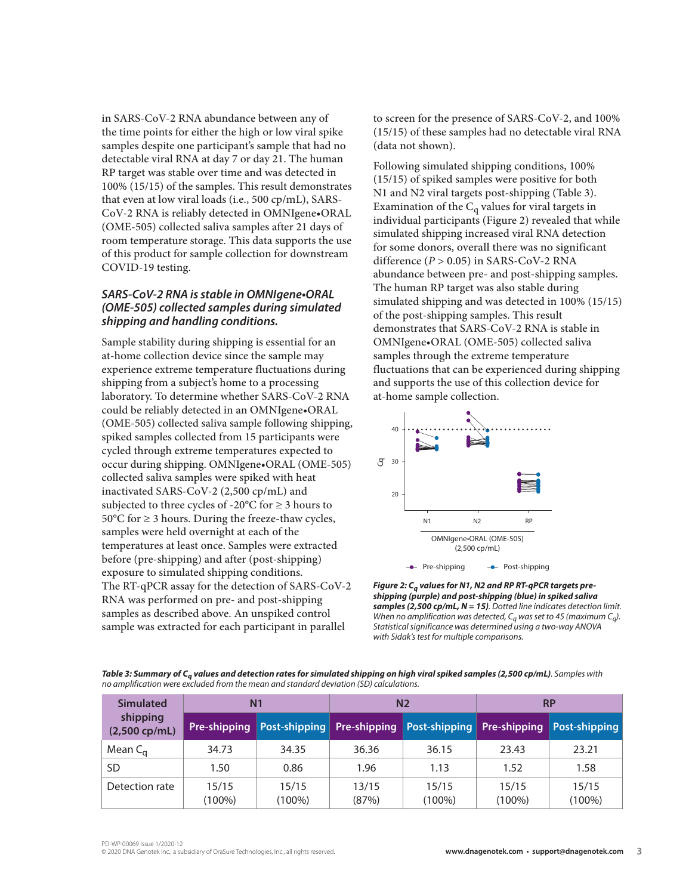in SARS-CoV-2 RNA abundance between any of the time points for either the high or low viral spike samples despite one participant's sample that had no detectable viral RNA at day 7 or day 21. The human RP target was stable over time and was detected in 100% (15/15) of the samples. This result demonstrates that even at low viral loads (i.e., 500 cp/mL), SARS-CoV-2 RNA is reliably detected in OMNIgene•ORAL (OME-505) collected saliva samples after 21 days of room temperature storage. This data supports the use of this product for sample collection for downstream COVID-19 testing.

# *SARS-CoV-2 RNA is stable in OMNIgene•ORAL (OME-505) collected samples during simulated shipping and handling conditions.*

Sample stability during shipping is essential for an at-home collection device since the sample may experience extreme temperature fluctuations during shipping from a subject's home to a processing laboratory. To determine whether SARS-CoV-2 RNA could be reliably detected in an OMNIgene•ORAL (OME-505) collected saliva sample following shipping, spiked samples collected from 15 participants were cycled through extreme temperatures expected to occur during shipping. OMNIgene•ORAL (OME-505) collected saliva samples were spiked with heat inactivated SARS-CoV-2 (2,500 cp/mL) and subjected to three cycles of -20 $\degree$ C for  $\geq$  3 hours to  $50^{\circ}$ C for  $\geq 3$  hours. During the freeze-thaw cycles, samples were held overnight at each of the temperatures at least once. Samples were extracted before (pre-shipping) and after (post-shipping) exposure to simulated shipping conditions. The RT-qPCR assay for the detection of SARS-CoV-2 RNA was performed on pre- and post-shipping samples as described above. An unspiked control sample was extracted for each participant in parallel

to screen for the presence of SARS-CoV-2, and 100% (15/15) of these samples had no detectable viral RNA (data not shown).

Following simulated shipping conditions, 100% (15/15) of spiked samples were positive for both N1 and N2 viral targets post-shipping (Table 3). Examination of the  $C_q$  values for viral targets in individual participants (Figure 2) revealed that while simulated shipping increased viral RNA detection for some donors, overall there was no significant difference (*P* > 0.05) in SARS-CoV-2 RNA abundance between pre- and post-shipping samples. The human RP target was also stable during simulated shipping and was detected in 100% (15/15) of the post-shipping samples. This result demonstrates that SARS-CoV-2 RNA is stable in OMNIgene•ORAL (OME-505) collected saliva samples through the extreme temperature fluctuations that can be experienced during shipping and supports the use of this collection device for at-home sample collection.



*Figure 2: Cq values for N1, N2 and RP RT-qPCR targets preshipping (purple) and post-shipping (blue) in spiked saliva samples (2,500 cp/mL, N = 15). Dotted line indicates detection limit. When no amplification was detected, Cq was set to 45 (maximum Cq). Statistical significance was determined using a two-way ANOVA with Sidak's test for multiple comparisons.*

*Table 3: Summary of Cq values and detection rates for simulated shipping on high viral spiked samples (2,500 cp/mL). Samples with no amplification were excluded from the mean and standard deviation (SD) calculations.*

| <b>Simulated</b>            |                    | N <sub>1</sub>                                                      |                | N <sub>2</sub>     | <b>RP</b>          |                    |  |
|-----------------------------|--------------------|---------------------------------------------------------------------|----------------|--------------------|--------------------|--------------------|--|
| shipping<br>$(2,500$ cp/mL) | Pre-shipping       | Post-shipping Pre-shipping Post-shipping Pre-shipping Post-shipping |                |                    |                    |                    |  |
| Mean $C_{\alpha}$           | 34.73              | 34.35                                                               | 36.36          | 36.15              | 23.43              | 23.21              |  |
| SD                          | 1.50               | 0.86                                                                | 1.96           | 1.13               | 1.52               | 1.58               |  |
| Detection rate              | 15/15<br>$(100\%)$ | 15/15<br>$(100\%)$                                                  | 13/15<br>(87%) | 15/15<br>$(100\%)$ | 15/15<br>$(100\%)$ | 15/15<br>$(100\%)$ |  |